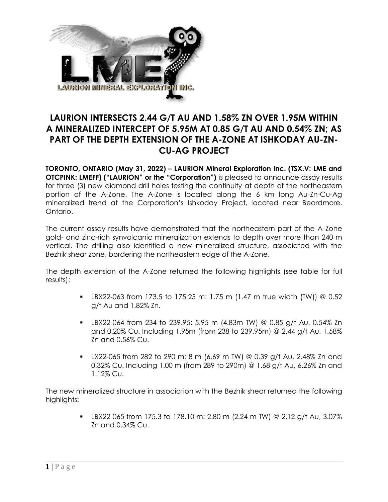

# **LAURION INTERSECTS 2.44 G/T AU AND 1.58% ZN OVER 1.95M WITHIN A MINERALIZED INTERCEPT OF 5.95M AT 0.85 G/T AU AND 0.54% ZN; AS PART OF THE DEPTH EXTENSION OF THE A-ZONE AT ISHKODAY AU-ZN-CU-AG PROJECT**

**TORONTO, ONTARIO (May 31, 2022) – LAURION Mineral Exploration Inc. (TSX.V: LME and OTCPINK: LMEFF) ("LAURION" or the "Corporation")** is pleased to announce assay results for three (3) new diamond drill holes testing the continuity at depth of the northeastern portion of the A-Zone. The A-Zone is located along the 6 km long Au-Zn-Cu-Ag mineralized trend at the Corporation's Ishkoday Project, located near Beardmore, Ontario.

The current assay results have demonstrated that the northeastern part of the A-Zone gold- and zinc-rich synvolcanic mineralization extends to depth over more than 240 m vertical. The drilling also identified a new mineralized structure, associated with the Bezhik shear zone, bordering the northeastern edge of the A-Zone.

The depth extension of the A-Zone returned the following highlights (see table for full results):

- **LBX22-063 from 173.5 to 175.25 m: 1.75 m (1.47 m true width (TW)) @ 0.52** g/t Au and 1.82% Zn.
- **EX22-064 from 234 to 239.95: 5.95 m (4.83m TW) @ 0.85 g/t Au, 0.54% Zn** and 0.20% Cu. Including 1.95m (from 238 to 239.95m) @ 2.44 g/t Au, 1.58% Zn and 0.56% Cu.
- $\blacksquare$  LX22-065 from 282 to 290 m: 8 m (6.69 m TW) @ 0.39 g/t Au, 2.48% Zn and 0.32% Cu. Including 1.00 m (from 289 to 290m) @ 1.68 g/t Au, 6.26% Zn and 1.12% Cu.

The new mineralized structure in association with the Bezhik shear returned the following highlights:

> **LBX22-065 from 175.3 to 178.10 m: 2.80 m (2.24 m TW) @ 2.12 g/t Au, 3.07%** Zn and 0.34% Cu.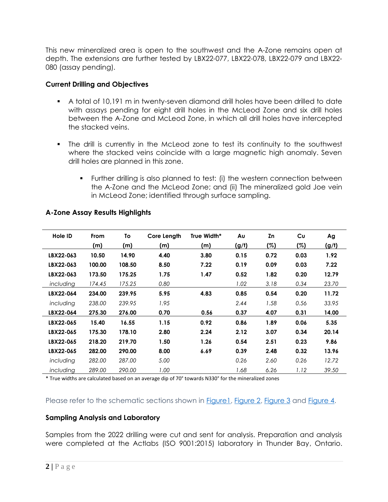This new mineralized area is open to the southwest and the A-Zone remains open at depth. The extensions are further tested by LBX22-077, LBX22-078, LBX22-079 and LBX22- 080 (assay pending).

### **Current Drilling and Objectives**

- A total of 10,191 m in twenty-seven diamond drill holes have been drilled to date with assays pending for eight drill holes in the McLeod Zone and six drill holes between the A-Zone and McLeod Zone, in which all drill holes have intercepted the stacked veins.
- The drill is currently in the McLeod zone to test its continuity to the southwest where the stacked veins coincide with a large magnetic high anomaly. Seven drill holes are planned in this zone.
	- Further drilling is also planned to test: (i) the western connection between the A-Zone and the McLeod Zone; and (ii) The mineralized gold Joe vein in McLeod Zone; identified through surface sampling.

| Hole ID   | <b>From</b> | To     | Core Length | True Width* | Au    | Zn   | Cu   | Ag    |
|-----------|-------------|--------|-------------|-------------|-------|------|------|-------|
|           | (m)         | (m)    | (m)         | (m)         | (g/t) | (%)  | (%)  | (g/t) |
| LBX22-063 | 10.50       | 14.90  | 4.40        | 3.80        | 0.15  | 0.72 | 0.03 | 1.92  |
| LBX22-063 | 100.00      | 108.50 | 8.50        | 7.22        | 0.19  | 0.09 | 0.03 | 7.22  |
| LBX22-063 | 173.50      | 175.25 | 1.75        | 1.47        | 0.52  | 1.82 | 0.20 | 12.79 |
| including | 174.45      | 175.25 | 0.80        |             | 1.02  | 3.18 | 0.34 | 23.70 |
| LBX22-064 | 234.00      | 239.95 | 5.95        | 4.83        | 0.85  | 0.54 | 0.20 | 11.72 |
| including | 238.00      | 239.95 | 1.95        |             | 2.44  | 1.58 | 0.56 | 33.95 |
| LBX22-064 | 275.30      | 276.00 | 0.70        | 0.56        | 0.37  | 4.07 | 0.31 | 14.00 |
| LBX22-065 | 15.40       | 16.55  | 1.15        | 0.92        | 0.86  | 1.89 | 0.06 | 5.35  |
| LBX22-065 | 175.30      | 178.10 | 2.80        | 2.24        | 2.12  | 3.07 | 0.34 | 20.14 |
| LBX22-065 | 218.20      | 219.70 | 1.50        | 1.26        | 0.54  | 2.51 | 0.23 | 9.86  |
| LBX22-065 | 282.00      | 290.00 | 8.00        | 6.69        | 0.39  | 2.48 | 0.32 | 13.96 |
| including | 282.00      | 287.00 | 5.00        |             | 0.26  | 2.60 | 0.26 | 12.72 |
| including | 289.00      | 290.00 | 1.00        |             | 1.68  | 6.26 | 1.12 | 39.50 |

## **A-Zone Assay Results Highlights**

\* True widths are calculated based on an average dip of 70° towards N330° for the mineralized zones

Please refer to the schematic sections shown in [Figure1,](https://www.laurion.ca/investors/image-gallery/#&gid=1&pid=48) [Figure 2,](https://www.laurion.ca/investors/image-gallery/#&gid=1&pid=49) [Figure 3](https://www.laurion.ca/investors/image-gallery/#&gid=1&pid=50) and [Figure 4.](https://www.laurion.ca/investors/image-gallery/#&gid=1&pid=51)

## **Sampling Analysis and Laboratory**

Samples from the 2022 drilling were cut and sent for analysis. Preparation and analysis were completed at the Actlabs (ISO 9001:2015) laboratory in Thunder Bay, Ontario.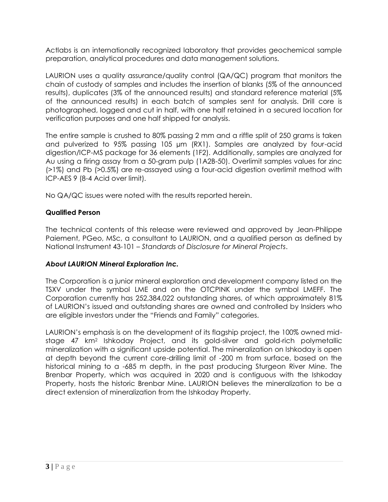Actlabs is an internationally recognized laboratory that provides geochemical sample preparation, analytical procedures and data management solutions.

LAURION uses a quality assurance/quality control (QA/QC) program that monitors the chain of custody of samples and includes the insertion of blanks (5% of the announced results), duplicates (3% of the announced results) and standard reference material (5% of the announced results) in each batch of samples sent for analysis. Drill core is photographed, logged and cut in half, with one half retained in a secured location for verification purposes and one half shipped for analysis.

The entire sample is crushed to 80% passing 2 mm and a riffle split of 250 grams is taken and pulverized to 95% passing 105 µm (RX1). Samples are analyzed by four-acid digestion/ICP-MS package for 36 elements (1F2). Additionally, samples are analyzed for Au using a firing assay from a 50-gram pulp (1A2B-50). Overlimit samples values for zinc (>1%) and Pb (>0.5%) are re-assayed using a four-acid digestion overlimit method with ICP-AES 9 (8-4 Acid over limit).

No QA/QC issues were noted with the results reported herein.

#### **Qualified Person**

The technical contents of this release were reviewed and approved by Jean-Philippe Paiement, PGeo, MSc, a consultant to LAURION, and a qualified person as defined by National Instrument 43-101 – *Standards of Disclosure for Mineral Projects*.

## *About LAURION Mineral Exploration Inc.*

The Corporation is a junior mineral exploration and development company listed on the TSXV under the symbol LME and on the OTCPINK under the symbol LMEFF. The Corporation currently has 252,384,022 outstanding shares, of which approximately 81% of LAURION's issued and outstanding shares are owned and controlled by Insiders who are eligible investors under the "Friends and Family" categories.

LAURION's emphasis is on the development of its flagship project, the 100% owned midstage 47 km<sup>2</sup> Ishkoday Project, and its gold-silver and gold-rich polymetallic mineralization with a significant upside potential. The mineralization on Ishkoday is open at depth beyond the current core-drilling limit of -200 m from surface, based on the historical mining to a -685 m depth, in the past producing Sturgeon River Mine. The Brenbar Property, which was acquired in 2020 and is contiguous with the Ishkoday Property, hosts the historic Brenbar Mine. LAURION believes the mineralization to be a direct extension of mineralization from the Ishkoday Property.